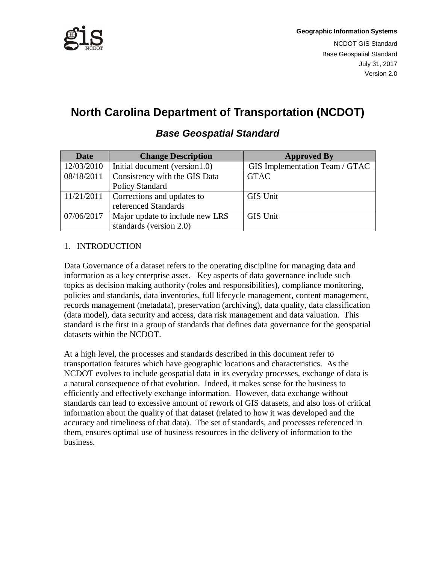

# **North Carolina Department of Transportation (NCDOT)**

| <b>Date</b> | <b>Change Description</b>       | <b>Approved By</b>             |
|-------------|---------------------------------|--------------------------------|
| 12/03/2010  | Initial document (version1.0)   | GIS Implementation Team / GTAC |
| 08/18/2011  | Consistency with the GIS Data   | <b>GTAC</b>                    |
|             | Policy Standard                 |                                |
| 11/21/2011  | Corrections and updates to      | <b>GIS Unit</b>                |
|             | referenced Standards            |                                |
| 07/06/2017  | Major update to include new LRS | <b>GIS Unit</b>                |
|             | standards (version 2.0)         |                                |

## **Base Geospatial Standard**

## 1. INTRODUCTION

Data Governance of a dataset refers to the operating discipline for managing data and information as a key enterprise asset. Key aspects of data governance include such topics as decision making authority (roles and responsibilities), compliance monitoring, policies and standards, data inventories, full lifecycle management, content management, records management (metadata), preservation (archiving), data quality, data classification (data model), data security and access, data risk management and data valuation. This standard is the first in a group of standards that defines data governance for the geospatial datasets within the NCDOT.

At a high level, the processes and standards described in this document refer to transportation features which have geographic locations and characteristics. As the NCDOT evolves to include geospatial data in its everyday processes, exchange of data is a natural consequence of that evolution. Indeed, it makes sense for the business to efficiently and effectively exchange information. However, data exchange without standards can lead to excessive amount of rework of GIS datasets, and also loss of critical information about the quality of that dataset (related to how it was developed and the accuracy and timeliness of that data). The set of standards, and processes referenced in them, ensures optimal use of business resources in the delivery of information to the business.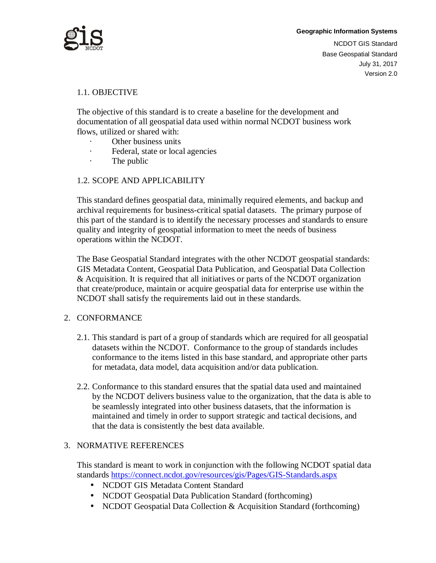

Version 2.0

#### 1.1. OBJECTIVE

The objective of this standard is to create a baseline for the development and documentation of all geospatial data used within normal NCDOT business work flows, utilized or shared with:

- Other business units
- · Federal, state or local agencies
- · The public

#### 1.2. SCOPE AND APPLICABILITY

This standard defines geospatial data, minimally required elements, and backup and archival requirements for business-critical spatial datasets. The primary purpose of this part of the standard is to identify the necessary processes and standards to ensure quality and integrity of geospatial information to meet the needs of business operations within the NCDOT.

The Base Geospatial Standard integrates with the other NCDOT geospatial standards: GIS Metadata Content, Geospatial Data Publication, and Geospatial Data Collection & Acquisition. It is required that all initiatives or parts of the NCDOT organization that create/produce, maintain or acquire geospatial data for enterprise use within the NCDOT shall satisfy the requirements laid out in these standards.

#### 2. CONFORMANCE

- 2.1. This standard is part of a group of standards which are required for all geospatial datasets within the NCDOT. Conformance to the group of standards includes conformance to the items listed in this base standard, and appropriate other parts for metadata, data model, data acquisition and/or data publication.
- 2.2. Conformance to this standard ensures that the spatial data used and maintained by the NCDOT delivers business value to the organization, that the data is able to be seamlessly integrated into other business datasets, that the information is maintained and timely in order to support strategic and tactical decisions, and that the data is consistently the best data available.

## 3. NORMATIVE REFERENCES

This standard is meant to work in conjunction with the following NCDOT spatial data standards https://connect.ncdot.gov/resources/gis/Pages/GIS-Standards.aspx

- NCDOT GIS Metadata Content Standard
- NCDOT Geospatial Data Publication Standard (forthcoming)
- NCDOT Geospatial Data Collection & Acquisition Standard (forthcoming)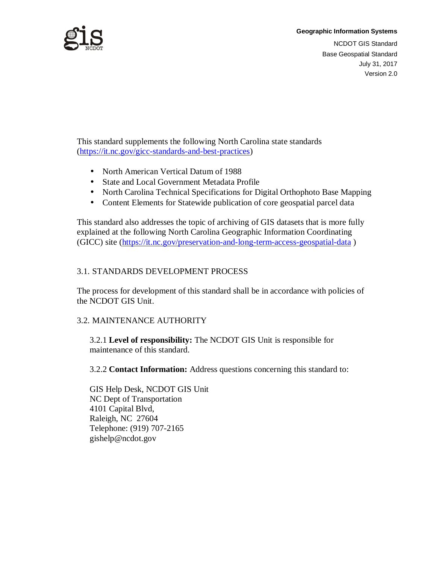

## **Geographic Information Systems** NCDOT GIS Standard Base Geospatial Standard July 31, 2017 Version 2.0

This standard supplements the following North Carolina state standards (https://it.nc.gov/gicc-standards-and-best-practices)

- North American Vertical Datum of 1988
- State and Local Government Metadata Profile
- North Carolina Technical Specifications for Digital Orthophoto Base Mapping
- Content Elements for Statewide publication of core geospatial parcel data

This standard also addresses the topic of archiving of GIS datasets that is more fully explained at the following North Carolina Geographic Information Coordinating (GICC) site (https://it.nc.gov/preservation-and-long-term-access-geospatial-data )

## 3.1. STANDARDS DEVELOPMENT PROCESS

The process for development of this standard shall be in accordance with policies of the NCDOT GIS Unit.

## 3.2. MAINTENANCE AUTHORITY

3.2.1 **Level of responsibility:** The NCDOT GIS Unit is responsible for maintenance of this standard.

3.2.2 **Contact Information:** Address questions concerning this standard to:

GIS Help Desk, NCDOT GIS Unit NC Dept of Transportation 4101 Capital Blvd, Raleigh, NC 27604 Telephone: (919) 707-2165 gishelp@ncdot.gov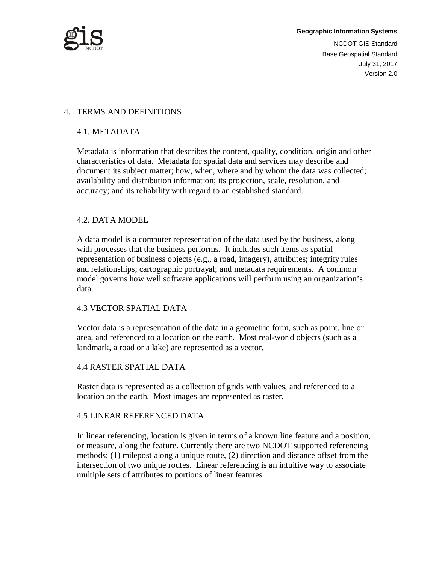

#### 4. TERMS AND DEFINITIONS

#### 4.1. METADATA

Metadata is information that describes the content, quality, condition, origin and other characteristics of data. Metadata for spatial data and services may describe and document its subject matter; how, when, where and by whom the data was collected; availability and distribution information; its projection, scale, resolution, and accuracy; and its reliability with regard to an established standard.

#### 4.2. DATA MODEL

A data model is a computer representation of the data used by the business, along with processes that the business performs. It includes such items as spatial representation of business objects (e.g., a road, imagery), attributes; integrity rules and relationships; cartographic portrayal; and metadata requirements. A common model governs how well software applications will perform using an organization's data.

#### 4.3 VECTOR SPATIAL DATA

Vector data is a representation of the data in a geometric form, such as point, line or area, and referenced to a location on the earth. Most real-world objects (such as a landmark, a road or a lake) are represented as a vector.

#### 4.4 RASTER SPATIAL DATA

Raster data is represented as a collection of grids with values, and referenced to a location on the earth. Most images are represented as raster.

#### 4.5 LINEAR REFERENCED DATA

In linear referencing, location is given in terms of a known line feature and a position, or measure, along the feature. Currently there are two NCDOT supported referencing methods: (1) milepost along a unique route, (2) direction and distance offset from the intersection of two unique routes. Linear referencing is an intuitive way to associate multiple sets of attributes to portions of linear features.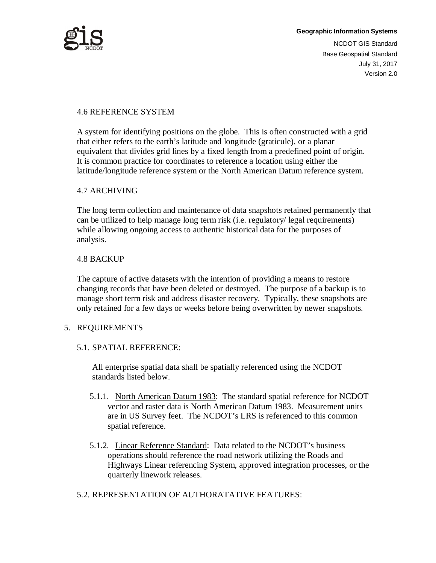

### 4.6 REFERENCE SYSTEM

A system for identifying positions on the globe. This is often constructed with a grid that either refers to the earth's latitude and longitude (graticule), or a planar equivalent that divides grid lines by a fixed length from a predefined point of origin. It is common practice for coordinates to reference a location using either the latitude/longitude reference system or the North American Datum reference system.

#### 4.7 ARCHIVING

The long term collection and maintenance of data snapshots retained permanently that can be utilized to help manage long term risk (i.e. regulatory/ legal requirements) while allowing ongoing access to authentic historical data for the purposes of analysis.

#### 4.8 BACKUP

The capture of active datasets with the intention of providing a means to restore changing records that have been deleted or destroyed. The purpose of a backup is to manage short term risk and address disaster recovery. Typically, these snapshots are only retained for a few days or weeks before being overwritten by newer snapshots.

#### 5. REQUIREMENTS

#### 5.1. SPATIAL REFERENCE:

All enterprise spatial data shall be spatially referenced using the NCDOT standards listed below.

- 5.1.1. North American Datum 1983: The standard spatial reference for NCDOT vector and raster data is North American Datum 1983. Measurement units are in US Survey feet. The NCDOT's LRS is referenced to this common spatial reference.
- 5.1.2. Linear Reference Standard: Data related to the NCDOT's business operations should reference the road network utilizing the Roads and Highways Linear referencing System, approved integration processes, or the quarterly linework releases.
- 5.2. REPRESENTATION OF AUTHORATATIVE FEATURES: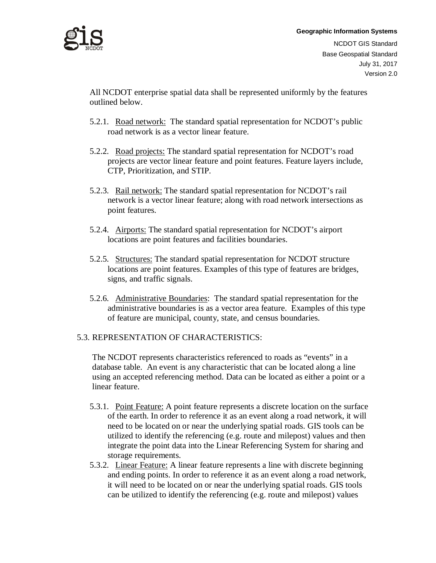

## **Geographic Information Systems** NCDOT GIS Standard Base Geospatial Standard July 31, 2017 Version 2.0

All NCDOT enterprise spatial data shall be represented uniformly by the features outlined below.

- 5.2.1. Road network: The standard spatial representation for NCDOT's public road network is as a vector linear feature.
- 5.2.2. Road projects: The standard spatial representation for NCDOT's road projects are vector linear feature and point features. Feature layers include, CTP, Prioritization, and STIP.
- 5.2.3. Rail network: The standard spatial representation for NCDOT's rail network is a vector linear feature; along with road network intersections as point features.
- 5.2.4. Airports: The standard spatial representation for NCDOT's airport locations are point features and facilities boundaries.
- 5.2.5. Structures: The standard spatial representation for NCDOT structure locations are point features. Examples of this type of features are bridges, signs, and traffic signals.
- 5.2.6. Administrative Boundaries: The standard spatial representation for the administrative boundaries is as a vector area feature. Examples of this type of feature are municipal, county, state, and census boundaries.

#### 5.3. REPRESENTATION OF CHARACTERISTICS:

The NCDOT represents characteristics referenced to roads as "events" in a database table. An event is any characteristic that can be located along a line using an accepted referencing method. Data can be located as either a point or a linear feature.

- 5.3.1. Point Feature: A point feature represents a discrete location on the surface of the earth. In order to reference it as an event along a road network, it will need to be located on or near the underlying spatial roads. GIS tools can be utilized to identify the referencing (e.g. route and milepost) values and then integrate the point data into the Linear Referencing System for sharing and storage requirements.
- 5.3.2. Linear Feature: A linear feature represents a line with discrete beginning and ending points. In order to reference it as an event along a road network, it will need to be located on or near the underlying spatial roads. GIS tools can be utilized to identify the referencing (e.g. route and milepost) values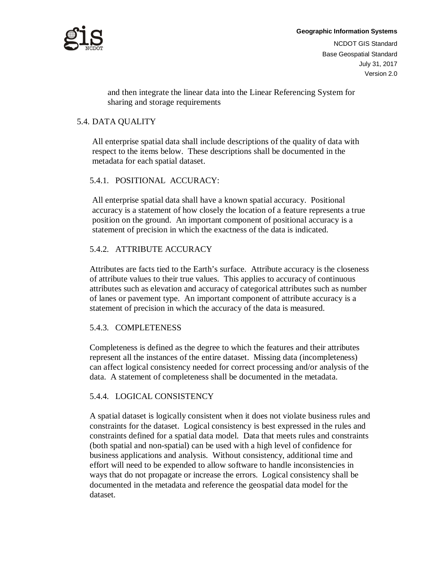

## **Geographic Information Systems** NCDOT GIS Standard Base Geospatial Standard July 31, 2017 Version 2.0

and then integrate the linear data into the Linear Referencing System for sharing and storage requirements

#### 5.4. DATA QUALITY

All enterprise spatial data shall include descriptions of the quality of data with respect to the items below. These descriptions shall be documented in the metadata for each spatial dataset.

#### 5.4.1. POSITIONAL ACCURACY:

All enterprise spatial data shall have a known spatial accuracy. Positional accuracy is a statement of how closely the location of a feature represents a true position on the ground. An important component of positional accuracy is a statement of precision in which the exactness of the data is indicated.

#### 5.4.2. ATTRIBUTE ACCURACY

Attributes are facts tied to the Earth's surface. Attribute accuracy is the closeness of attribute values to their true values. This applies to accuracy of continuous attributes such as elevation and accuracy of categorical attributes such as number of lanes or pavement type. An important component of attribute accuracy is a statement of precision in which the accuracy of the data is measured.

#### 5.4.3. COMPLETENESS

Completeness is defined as the degree to which the features and their attributes represent all the instances of the entire dataset. Missing data (incompleteness) can affect logical consistency needed for correct processing and/or analysis of the data. A statement of completeness shall be documented in the metadata.

#### 5.4.4. LOGICAL CONSISTENCY

A spatial dataset is logically consistent when it does not violate business rules and constraints for the dataset. Logical consistency is best expressed in the rules and constraints defined for a spatial data model. Data that meets rules and constraints (both spatial and non-spatial) can be used with a high level of confidence for business applications and analysis. Without consistency, additional time and effort will need to be expended to allow software to handle inconsistencies in ways that do not propagate or increase the errors. Logical consistency shall be documented in the metadata and reference the geospatial data model for the dataset.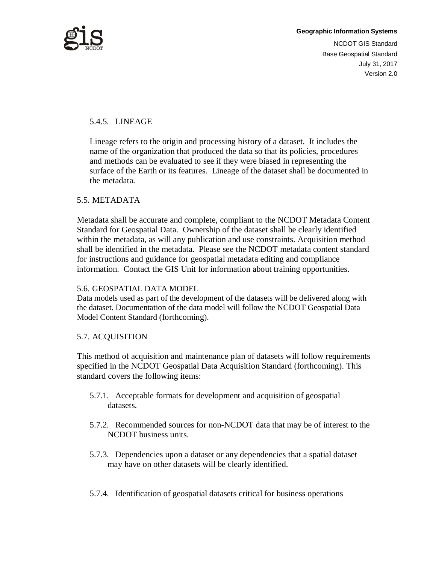

## 5.4.5. LINEAGE

Lineage refers to the origin and processing history of a dataset. It includes the name of the organization that produced the data so that its policies, procedures and methods can be evaluated to see if they were biased in representing the surface of the Earth or its features. Lineage of the dataset shall be documented in the metadata.

#### 5.5. METADATA

Metadata shall be accurate and complete, compliant to the NCDOT Metadata Content Standard for Geospatial Data. Ownership of the dataset shall be clearly identified within the metadata, as will any publication and use constraints. Acquisition method shall be identified in the metadata. Please see the NCDOT metadata content standard for instructions and guidance for geospatial metadata editing and compliance information. Contact the GIS Unit for information about training opportunities.

#### 5.6. GEOSPATIAL DATA MODEL

Data models used as part of the development of the datasets will be delivered along with the dataset. Documentation of the data model will follow the NCDOT Geospatial Data Model Content Standard (forthcoming).

#### 5.7. ACQUISITION

This method of acquisition and maintenance plan of datasets will follow requirements specified in the NCDOT Geospatial Data Acquisition Standard (forthcoming). This standard covers the following items:

- 5.7.1. Acceptable formats for development and acquisition of geospatial datasets.
- 5.7.2. Recommended sources for non-NCDOT data that may be of interest to the NCDOT business units.
- 5.7.3. Dependencies upon a dataset or any dependencies that a spatial dataset may have on other datasets will be clearly identified.
- 5.7.4. Identification of geospatial datasets critical for business operations